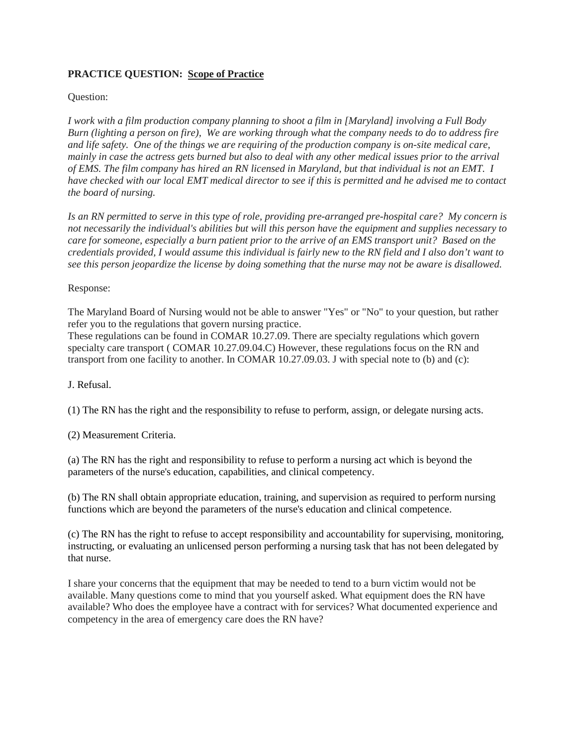## **PRACTICE QUESTION: Scope of Practice**

## Question:

*I work with a film production company planning to shoot a film in [Maryland] involving a Full Body Burn (lighting a person on fire), We are working through what the company needs to do to address fire and life safety. One of the things we are requiring of the production company is on-site medical care, mainly in case the actress gets burned but also to deal with any other medical issues prior to the arrival of EMS. The film company has hired an RN licensed in Maryland, but that individual is not an EMT. I have checked with our local EMT medical director to see if this is permitted and he advised me to contact the board of nursing.*

*Is an RN permitted to serve in this type of role, providing pre-arranged pre-hospital care? My concern is not necessarily the individual's abilities but will this person have the equipment and supplies necessary to care for someone, especially a burn patient prior to the arrive of an EMS transport unit? Based on the credentials provided, I would assume this individual is fairly new to the RN field and I also don't want to see this person jeopardize the license by doing something that the nurse may not be aware is disallowed.*

## Response:

The Maryland Board of Nursing would not be able to answer "Yes" or "No" to your question, but rather refer you to the regulations that govern nursing practice.

These regulations can be found in COMAR 10.27.09. There are specialty regulations which govern specialty care transport ( COMAR 10.27.09.04.C) However, these regulations focus on the RN and transport from one facility to another. In COMAR 10.27.09.03. J with special note to (b) and (c):

## J. Refusal.

(1) The RN has the right and the responsibility to refuse to perform, assign, or delegate nursing acts.

(2) Measurement Criteria.

(a) The RN has the right and responsibility to refuse to perform a nursing act which is beyond the parameters of the nurse's education, capabilities, and clinical competency.

(b) The RN shall obtain appropriate education, training, and supervision as required to perform nursing functions which are beyond the parameters of the nurse's education and clinical competence.

(c) The RN has the right to refuse to accept responsibility and accountability for supervising, monitoring, instructing, or evaluating an unlicensed person performing a nursing task that has not been delegated by that nurse.

I share your concerns that the equipment that may be needed to tend to a burn victim would not be available. Many questions come to mind that you yourself asked. What equipment does the RN have available? Who does the employee have a contract with for services? What documented experience and competency in the area of emergency care does the RN have?